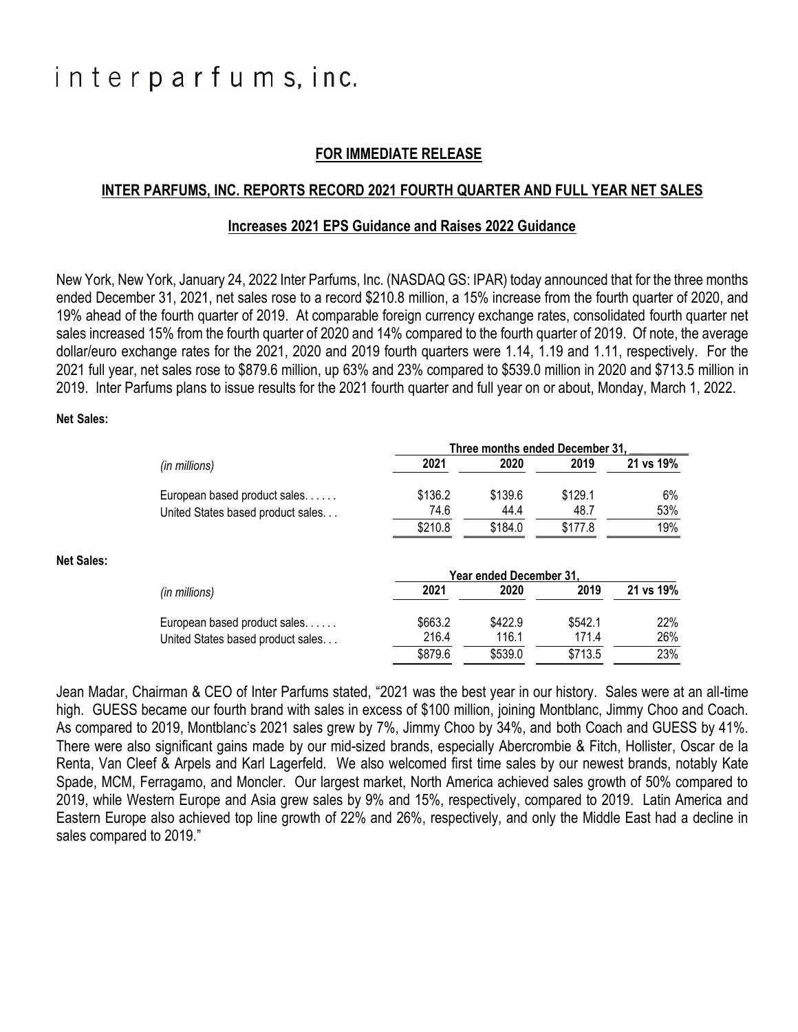# interparfums, inc.

## **FOR IMMEDIATE RELEASE**

#### **INTER PARFUMS, INC. REPORTS RECORD 2021 FOURTH QUARTER AND FULL YEAR NET SALES**

#### **Increases 2021 EPS Guidance and Raises 2022 Guidance**

New York, New York, January 24, 2022 Inter Parfums, Inc. (NASDAQ GS: IPAR) today announced that for the three months ended December 31, 2021, net sales rose to a record \$210.8 million, a 15% increase from the fourth quarter of 2020, and 19% ahead of the fourth quarter of 2019. At comparable foreign currency exchange rates, consolidated fourth quarter net sales increased 15% from the fourth quarter of 2020 and 14% compared to the fourth quarter of 2019. Of note, the average dollar/euro exchange rates for the 2021, 2020 and 2019 fourth quarters were 1.14, 1.19 and 1.11, respectively. For the 2021 full year, net sales rose to \$879.6 million, up 63% and 23% compared to \$539.0 million in 2020 and \$713.5 million in 2019. Inter Parfums plans to issue results for the 2021 fourth quarter and full year on or about, Monday, March 1, 2022.

#### **Net Sales:**

**Net Sales:**

|                                                                                    | Three months ended December 31. |                               |         |           |
|------------------------------------------------------------------------------------|---------------------------------|-------------------------------|---------|-----------|
| (in millions)                                                                      | 2021                            | 2020                          | 2019    | 21 vs 19% |
| European based product sales                                                       | \$136.2                         | \$139.6                       | \$129.1 | 6%        |
| United States based product sales                                                  | 74.6                            | 44.4                          | 48.7    | 53%       |
|                                                                                    | \$210.8                         | \$184.0                       | \$177.8 | 19%       |
|                                                                                    |                                 |                               |         |           |
|                                                                                    |                                 | <b>Year ended December 31</b> |         |           |
|                                                                                    | 2021                            | 2020                          | 2019    | 21 vs 19% |
|                                                                                    | \$663.2                         | \$422.9                       | \$542.1 | 22%       |
| (in millions)<br>European based product sales<br>United States based product sales | 216.4                           | 116.1                         | 171.4   | 26%       |

Jean Madar, Chairman & CEO of Inter Parfums stated, "2021 was the best year in our history. Sales were at an all-time high. GUESS became our fourth brand with sales in excess of \$100 million, joining Montblanc, Jimmy Choo and Coach. As compared to 2019, Montblanc's 2021 sales grew by 7%, Jimmy Choo by 34%, and both Coach and GUESS by 41%. There were also significant gains made by our mid-sized brands, especially Abercrombie & Fitch, Hollister, Oscar de la Renta, Van Cleef & Arpels and Karl Lagerfeld. We also welcomed first time sales by our newest brands, notably Kate Spade, MCM, Ferragamo, and Moncler. Our largest market, North America achieved sales growth of 50% compared to 2019, while Western Europe and Asia grew sales by 9% and 15%, respectively, compared to 2019. Latin America and Eastern Europe also achieved top line growth of 22% and 26%, respectively, and only the Middle East had a decline in sales compared to 2019."